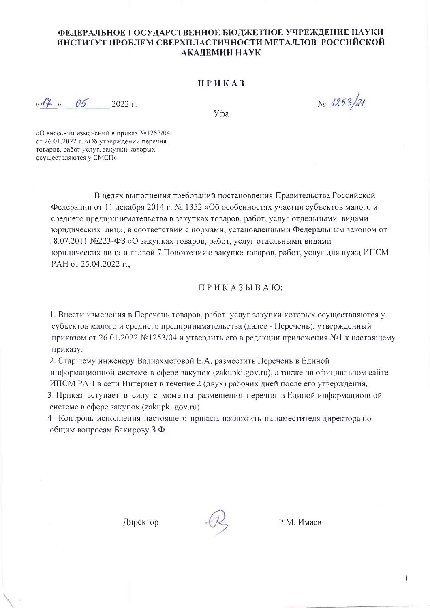## ФЕДЕРАЛЬНОЕ ГОСУДАРСТВЕННОЕ БЮДЖЕТНОЕ УЧРЕЖДЕНИЕ НАУКИ ИНСТИТУТ ПРОБЛЕМ СВЕРХПЛАСТИЧНОСТИ МЕТАЛЛОВ РОССИЙСКОЙ АКАЛЕМИИ НАУК

## ПРИКАЗ

 $\kappa$   $44 \times 05$  2022 г.

Уфа

No 1253/21

«О внесении изменений в приказ №1253/04 от 26.01.2022 г. «Об утверждении перечня товаров, работ услуг, закупки которых осуществляются у СМСП»

> В целях выполнения требований постановления Правительства Российской Федерации от 11 декабря 2014 г. № 1352 «Об особенностях участия субъектов малого и среднего предпринимательства в закупках товаров, работ, услуг отдельными видами юридических лиц», в соответствии с нормами, установленными Федеральным законом от 18.07.2011 №223-ФЗ «О закупках товаров, работ, услуг отдельными видами юридических лиц» и главой 7 Положения о закупке товаров, работ, услуг для нужд ИПСМ РАН от 25.04.2022 г.,

> > ПРИКАЗЫВАЮ:

1. Внести изменения в Перечень товаров, работ, услуг закупки которых осуществляются у субъектов малого и среднего предпринимательства (далее - Перечень), утвержденный приказом от 26.01.2022 №1253/04 и утвердить его в редакции приложения №1 к настоящему приказу.

2. Старшему инженеру Валиахметовой Е.А. разместить Перечень в Единой информационной системе в сфере закупок (zakupki.gov.ru), а также на официальном сайте ИПСМ РАН в сети Интернет в течение 2 (двух) рабочих дней после его утверждения. 3. Приказ вступает в силу с момента размещения перечня в Единой информационной системе в сфере закупок (zakupki.gov.ru).

4. Контроль исполнения настоящего приказа возложить на заместителя директора по общим вопросам Бакирову З.Ф.

Директор



Р.М. Имаев

 $\mathbf{I}$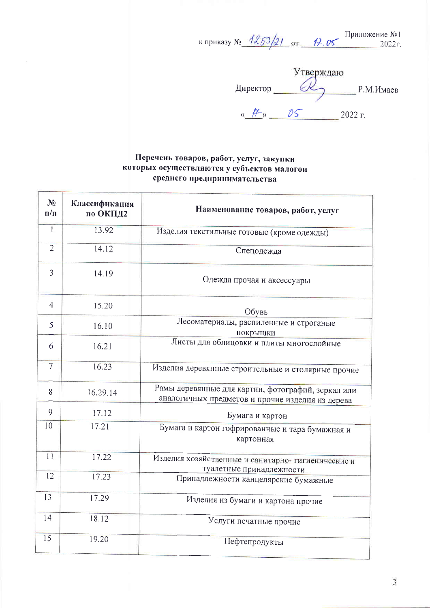к приказу №  $\frac{1253}{21}$  от  $\frac{17.05}{2022}$  2022г.

 $U$ тверждаю<br>Директор Р.М.Имаев  $\frac{1}{2022 \text{ r}}$  2022 r.

## Перечень товаров, работ, услуг, закупки которых осуществляются у субъектов малогои среднего предпринимательства

| $N_2$<br>$\mathbf{n}/\mathbf{n}$ | Классификация<br>по ОКПД2 | Наименование товаров, работ, услуг                                                                     |
|----------------------------------|---------------------------|--------------------------------------------------------------------------------------------------------|
| $\mathbf{1}$                     | 13.92                     | Изделия текстильные готовые (кроме одежды)                                                             |
| $\overline{2}$                   | 14.12                     | Спецодежда                                                                                             |
| $\overline{3}$                   | 14.19                     | Одежда прочая и аксессуары                                                                             |
| $\overline{4}$                   | 15.20                     | Обувь                                                                                                  |
| 5                                | 16.10                     | Лесоматериалы, распиленные и строганые<br>покрышки                                                     |
| 6                                | 16.21                     | Листы для облицовки и плиты многослойные                                                               |
| $\overline{7}$                   | 16.23                     | Изделия деревянные строительные и столярные прочие                                                     |
| 8                                | 16.29.14                  | Рамы деревянные для картин, фотографий, зеркал или<br>аналогичных предметов и прочие изделия из дерева |
| 9                                | 17.12                     | Бумага и картон                                                                                        |
| 10                               | 17.21                     | Бумага и картон гофрированные и тара бумажная и<br>картонная                                           |
| 11                               | 17.22                     | Изделия хозяйственные и санитарно- гигиенические и<br>туалетные принадлежности                         |
| 12                               | 17.23                     | Принадлежности канцелярские бумажные                                                                   |
| 13                               | 17.29                     | Изделия из бумаги и картона прочие                                                                     |
| 14                               | 18.12                     | Услуги печатные прочие                                                                                 |
| 15                               | 19.20                     | Нефтепродукты                                                                                          |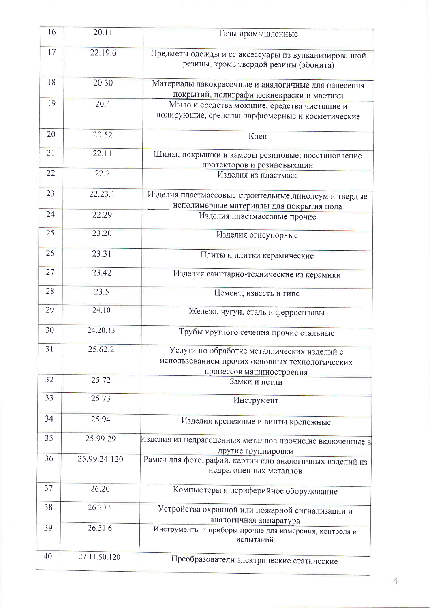| 16 | 20.11        | Газы промышленные                                                                                                         |
|----|--------------|---------------------------------------------------------------------------------------------------------------------------|
| 17 | 22.19.6      | Предметы одежды и ее аксессуары из вулканизированной<br>резины, кроме твердой резины (эбонита)                            |
| 18 | 20.30        | Материалы лакокрасочные и аналогичные для нанесения<br>покрытий, полиграфическиекраски и мастики                          |
| 19 | 20.4         | Мыло и средства моющие, средства чистящие и<br>полирующие, средства парфюмерные и косметические                           |
| 20 | 20.52        | Клеи                                                                                                                      |
| 21 | 22.11        | Шины, покрышки и камеры резиновые; восстановление<br>протекторов и резиновыхшин                                           |
| 22 | 22.2         | Изделия из пластмасс                                                                                                      |
| 23 | 22.23.1      | Изделия пластмассовые строительные; линолеум и твердые<br>неполимерные материалы для покрытия пола                        |
| 24 | 22.29        | Изделия пластмассовые прочие                                                                                              |
| 25 | 23.20        | Изделия огнеупорные                                                                                                       |
| 26 | 23.31        | Плиты и плитки керамические                                                                                               |
| 27 | 23.42        | Изделия санитарно-технические из керамики                                                                                 |
| 28 | 23.5         | Цемент, известь и гипс                                                                                                    |
| 29 | 24.10        | Железо, чугун, сталь и ферросплавы                                                                                        |
| 30 | 24.20.13     | Трубы круглого сечения прочие стальные                                                                                    |
| 31 | 25.62.2      | Услуги по обработке металлических изделий с<br>использованием прочих основных технологических<br>процессов машиностроения |
| 32 | 25.72        | Замки и петли                                                                                                             |
| 33 | 25.73        | Инструмент                                                                                                                |
| 34 | 25.94        | Изделия крепежные и винты крепежные                                                                                       |
| 35 | 25.99.29     | Изделия из недрагоценных металлов прочие,не включенные в<br>другие группировки                                            |
| 36 | 25.99.24.120 | Рамки для фотографий, картин или аналогичных изделий из<br>недрагоценных металлов                                         |
| 37 | 26.20        | Компьютеры и периферийное оборудование                                                                                    |
| 38 | 26.30.5      | Устройства охранной или пожарной сигнализации и<br>аналогичная аппаратура                                                 |
| 39 | 26.51.6      | Инструменты и приборы прочие для измерения, контроля и<br>испытаний                                                       |
| 40 | 27.11.50.120 | Преобразователи электрические статические                                                                                 |

 $\overline{4}$